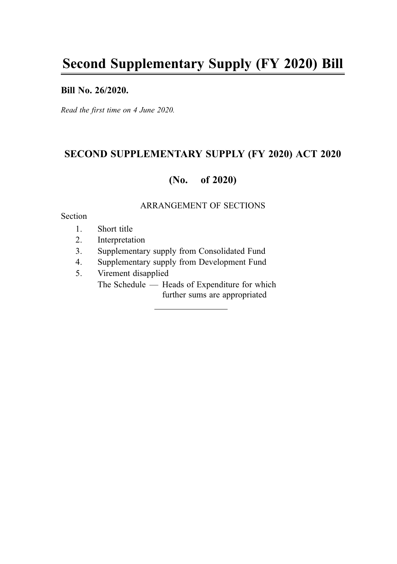#### Bill No. 26/2020.

Read the first time on 4 June 2020.

## SECOND SUPPLEMENTARY SUPPLY (FY 2020) ACT 2020

## (No. of 2020)

#### ARRANGEMENT OF SECTIONS

#### Section

- 1. Short title
- 2. Interpretation
- 3. Supplementary supply from Consolidated Fund
- 4. Supplementary supply from Development Fund
- 5. Virement disapplied The Schedule — Heads of Expenditure for which further sums are appropriated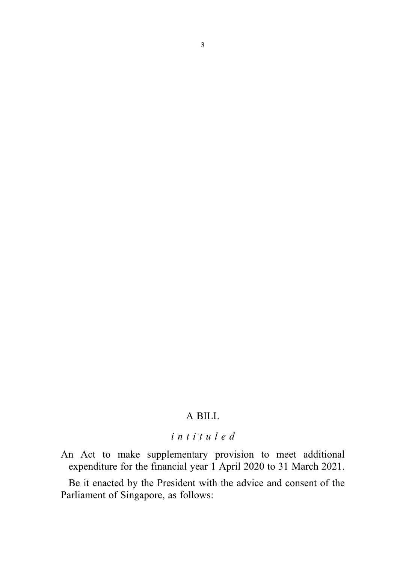### A BILL

# intituled

An Act to make supplementary provision to meet additional expenditure for the financial year 1 April 2020 to 31 March 2021.

Be it enacted by the President with the advice and consent of the Parliament of Singapore, as follows: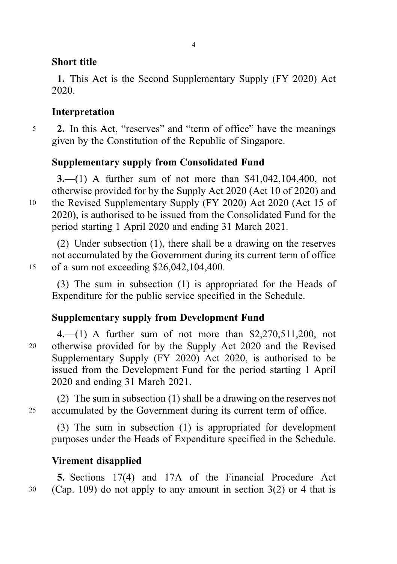## Short title

1. This Act is the Second Supplementary Supply (FY 2020) Act 2020.

# Interpretation

<sup>5</sup> 2. In this Act, "reserves" and "term of office" have the meanings given by the Constitution of the Republic of Singapore.

# Supplementary supply from Consolidated Fund

3.—(1) A further sum of not more than \$41,042,104,400, not otherwise provided for by the Supply Act 2020 (Act 10 of 2020) and <sup>10</sup> the Revised Supplementary Supply (FY 2020) Act 2020 (Act 15 of 2020), is authorised to be issued from the Consolidated Fund for the period starting 1 April 2020 and ending 31 March 2021.

(2) Under subsection (1), there shall be a drawing on the reserves not accumulated by the Government during its current term of office <sup>15</sup> of a sum not exceeding \$26,042,104,400.

(3) The sum in subsection (1) is appropriated for the Heads of Expenditure for the public service specified in the Schedule.

# Supplementary supply from Development Fund

4.—(1) A further sum of not more than \$2,270,511,200, not <sup>20</sup> otherwise provided for by the Supply Act 2020 and the Revised Supplementary Supply (FY 2020) Act 2020, is authorised to be issued from the Development Fund for the period starting 1 April 2020 and ending 31 March 2021.

(2) The sum in subsection (1) shall be a drawing on the reserves not <sup>25</sup> accumulated by the Government during its current term of office.

(3) The sum in subsection (1) is appropriated for development purposes under the Heads of Expenditure specified in the Schedule.

## Virement disapplied

5. Sections 17(4) and 17A of the Financial Procedure Act  $30$  (Cap. 109) do not apply to any amount in section 3(2) or 4 that is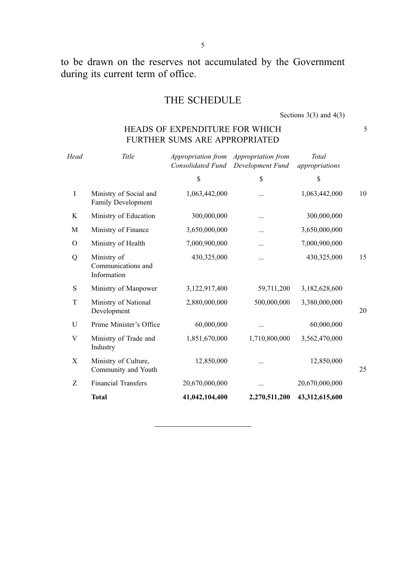to be drawn on the reserves not accumulated by the Government during its current term of office.

5

# THE SCHEDULE

Sections  $3(3)$  and  $4(3)$ 

### HEADS OF EXPENDITURE FOR WHICH 5 FURTHER SUMS ARE APPROPRIATED

| Head | Title                                            | Appropriation from Appropriation from<br>Consolidated Fund | Development Fund | Total<br>appropriations |    |
|------|--------------------------------------------------|------------------------------------------------------------|------------------|-------------------------|----|
|      |                                                  | \$                                                         | \$               | \$                      |    |
| Ι    | Ministry of Social and<br>Family Development     | 1,063,442,000                                              | .                | 1,063,442,000           | 10 |
| K    | Ministry of Education                            | 300,000,000                                                |                  | 300,000,000             |    |
| M    | Ministry of Finance                              | 3,650,000,000                                              |                  | 3,650,000,000           |    |
| O    | Ministry of Health                               | 7,000,900,000                                              |                  | 7,000,900,000           |    |
| Q    | Ministry of<br>Communications and<br>Information | 430,325,000                                                |                  | 430,325,000             | 15 |
| S    | Ministry of Manpower                             | 3,122,917,400                                              | 59,711,200       | 3,182,628,600           |    |
| T    | Ministry of National<br>Development              | 2,880,000,000                                              | 500,000,000      | 3,380,000,000           | 20 |
| U    | Prime Minister's Office                          | 60,000,000                                                 |                  | 60,000,000              |    |
| V    | Ministry of Trade and<br>Industry                | 1,851,670,000                                              | 1,710,800,000    | 3,562,470,000           |    |
| X    | Ministry of Culture,<br>Community and Youth      | 12,850,000                                                 | .                | 12,850,000              | 25 |
| Ζ    | <b>Financial Transfers</b>                       | 20,670,000,000                                             |                  | 20,670,000,000          |    |
|      | <b>Total</b>                                     | 41,042,104,400                                             | 2,270,511,200    | 43,312,615,600          |    |
|      |                                                  |                                                            |                  |                         |    |